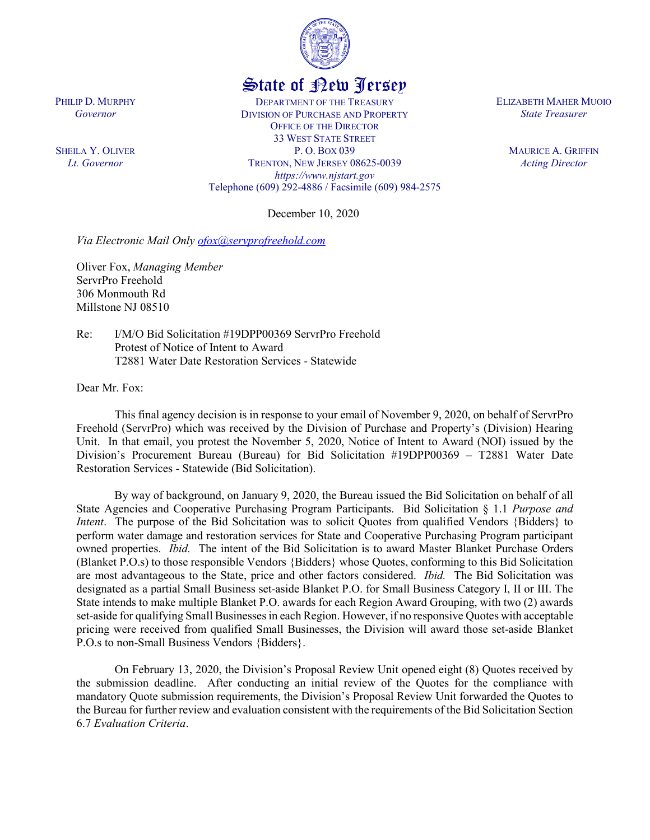

## State of New Jersey

DEPARTMENT OF THE TREASURY DIVISION OF PURCHASE AND PROPERTY OFFICE OF THE DIRECTOR 33 WEST STATE STREET P. O. BOX 039 TRENTON, NEW JERSEY 08625-0039 *https://www.njstart.gov* Telephone (609) 292-4886 / Facsimile (609) 984-2575

December 10, 2020

*Via Electronic Mail Only [ofox@servprofreehold.com](mailto:ofox@servprofreehold.com)*

Oliver Fox, *Managing Member* ServrPro Freehold 306 Monmouth Rd Millstone NJ 08510

Re: I/M/O Bid Solicitation #19DPP00369 ServrPro Freehold Protest of Notice of Intent to Award T2881 Water Date Restoration Services - Statewide

Dear Mr. Fox:

This final agency decision is in response to your email of November 9, 2020, on behalf of ServrPro Freehold (ServrPro) which was received by the Division of Purchase and Property's (Division) Hearing Unit. In that email, you protest the November 5, 2020, Notice of Intent to Award (NOI) issued by the Division's Procurement Bureau (Bureau) for Bid Solicitation #19DPP00369 – T2881 Water Date Restoration Services - Statewide (Bid Solicitation).

By way of background, on January 9, 2020, the Bureau issued the Bid Solicitation on behalf of all State Agencies and Cooperative Purchasing Program Participants. Bid Solicitation § 1.1 *Purpose and Intent*. The purpose of the Bid Solicitation was to solicit Quotes from qualified Vendors {Bidders} to perform water damage and restoration services for State and Cooperative Purchasing Program participant owned properties. *Ibid.* The intent of the Bid Solicitation is to award Master Blanket Purchase Orders (Blanket P.O.s) to those responsible Vendors {Bidders} whose Quotes, conforming to this Bid Solicitation are most advantageous to the State, price and other factors considered. *Ibid.* The Bid Solicitation was designated as a partial Small Business set-aside Blanket P.O. for Small Business Category I, II or III. The State intends to make multiple Blanket P.O. awards for each Region Award Grouping, with two (2) awards set-aside for qualifying Small Businesses in each Region. However, if no responsive Quotes with acceptable pricing were received from qualified Small Businesses, the Division will award those set-aside Blanket P.O.s to non-Small Business Vendors {Bidders}.

On February 13, 2020, the Division's Proposal Review Unit opened eight (8) Quotes received by the submission deadline. After conducting an initial review of the Quotes for the compliance with mandatory Quote submission requirements, the Division's Proposal Review Unit forwarded the Quotes to the Bureau for further review and evaluation consistent with the requirements of the Bid Solicitation Section 6.7 *Evaluation Criteria*.

ELIZABETH MAHER MUOIO *State Treasurer*

> MAURICE A. GRIFFIN *Acting Director*

PHILIP D. MURPHY *Governor*

SHEILA Y. OLIVER *Lt. Governor*